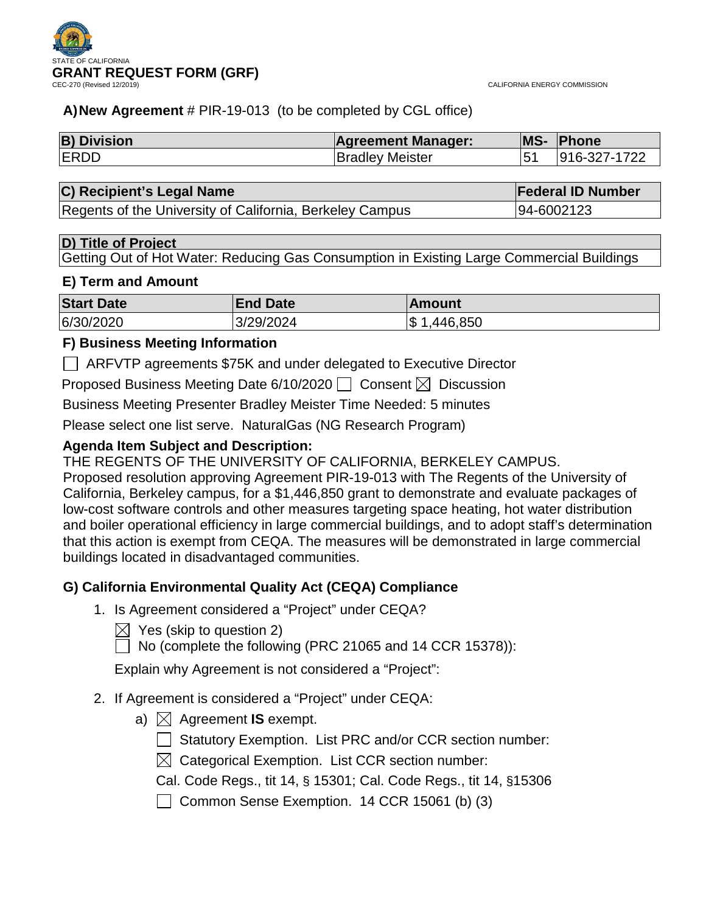



## **A)New Agreement** # PIR-19-013 (to be completed by CGL office)

| <b>B) Division</b> | <b>Agreement Manager:</b> | MS-            | Phone        |
|--------------------|---------------------------|----------------|--------------|
| <b>IERDD</b>       | <b>Bradley Meister</b>    | 5 <sup>′</sup> | 916-327-1722 |

## **C) Recipient's Legal Name Federal ID Number**

Regents of the University of California, Berkeley Campus | 94-6002123

## **D) Title of Project**

Getting Out of Hot Water: Reducing Gas Consumption in Existing Large Commercial Buildings

## **E) Term and Amount**

| <b>Start Date</b> | <b>End Date</b> | ∣Amount        |
|-------------------|-----------------|----------------|
| 6/30/2020         | 3/29/2024       | \$<br>,446,850 |

## **F) Business Meeting Information**

ARFVTP agreements \$75K and under delegated to Executive Director

Proposed Business Meeting Date 6/10/2020  $\Box$  Consent  $\boxtimes$  Discussion

Business Meeting Presenter Bradley Meister Time Needed: 5 minutes

Please select one list serve. NaturalGas (NG Research Program)

## **Agenda Item Subject and Description:**

THE REGENTS OF THE UNIVERSITY OF CALIFORNIA, BERKELEY CAMPUS.

Proposed resolution approving Agreement PIR-19-013 with The Regents of the University of California, Berkeley campus, for a \$1,446,850 grant to demonstrate and evaluate packages of low-cost software controls and other measures targeting space heating, hot water distribution and boiler operational efficiency in large commercial buildings, and to adopt staff's determination that this action is exempt from CEQA. The measures will be demonstrated in large commercial buildings located in disadvantaged communities.

## **G) California Environmental Quality Act (CEQA) Compliance**

- 1. Is Agreement considered a "Project" under CEQA?
	- $\bowtie$  Yes (skip to question 2)
	- $\Box$  No (complete the following (PRC 21065 and 14 CCR 15378)):

Explain why Agreement is not considered a "Project":

- 2. If Agreement is considered a "Project" under CEQA:
	- a)  $\boxtimes$  Agreement **IS** exempt.
		- Statutory Exemption. List PRC and/or CCR section number:
		- $\boxtimes$  Categorical Exemption. List CCR section number:
		- Cal. Code Regs., tit 14, § 15301; Cal. Code Regs., tit 14, §15306
		- Common Sense Exemption.  $14$  CCR 15061 (b) (3)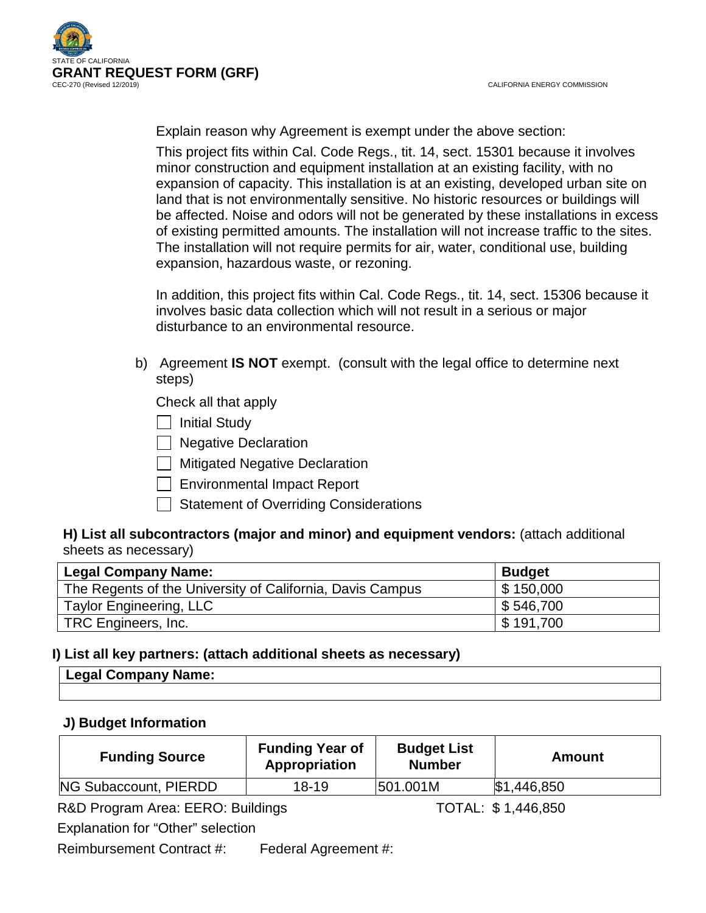

Explain reason why Agreement is exempt under the above section:

This project fits within Cal. Code Regs., tit. 14, sect. 15301 because it involves minor construction and equipment installation at an existing facility, with no expansion of capacity. This installation is at an existing, developed urban site on land that is not environmentally sensitive. No historic resources or buildings will be affected. Noise and odors will not be generated by these installations in excess of existing permitted amounts. The installation will not increase traffic to the sites. The installation will not require permits for air, water, conditional use, building expansion, hazardous waste, or rezoning.

In addition, this project fits within Cal. Code Regs., tit. 14, sect. 15306 because it involves basic data collection which will not result in a serious or major disturbance to an environmental resource.

b) Agreement **IS NOT** exempt. (consult with the legal office to determine next steps)

Check all that apply

 $\Box$  Initial Study

**Negative Declaration** 

 $\Box$  Mitigated Negative Declaration

 $\Box$  Environmental Impact Report

Statement of Overriding Considerations

## **H) List all subcontractors (major and minor) and equipment vendors:** (attach additional sheets as necessary)

| <b>Legal Company Name:</b>                                | <b>Budget</b> |
|-----------------------------------------------------------|---------------|
| The Regents of the University of California, Davis Campus | \$150,000     |
| Taylor Engineering, LLC                                   | \$546,700     |
| TRC Engineers, Inc.                                       | \$191,700     |

## **I) List all key partners: (attach additional sheets as necessary)**

| Name:<br>.<br>- 11<br>ี่⊨∾ม<br>-------- |  |
|-----------------------------------------|--|
|                                         |  |

## **J) Budget Information**

| <b>Funding Source</b> | <b>Funding Year of</b><br>Appropriation | <b>Budget List</b><br><b>Number</b> | Amount      |
|-----------------------|-----------------------------------------|-------------------------------------|-------------|
| NG Subaccount, PIERDD | $18 - 19$                               | 501.001M                            | \$1,446,850 |

R&D Program Area: EERO: Buildings TOTAL: \$1,446,850

Explanation for "Other" selection

Reimbursement Contract #: Federal Agreement #: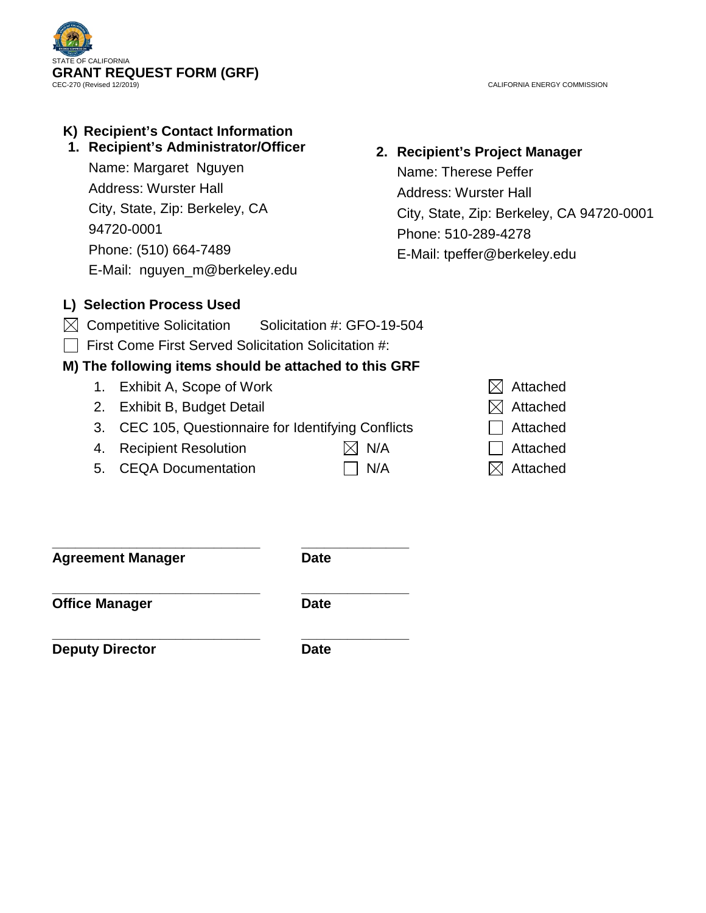

CALIFORNIA ENERGY COMMISSION

## **K) Recipient's Contact Information**

## **1. Recipient's Administrator/Officer**

Name: Margaret Nguyen Address: Wurster Hall City, State, Zip: Berkeley, CA 94720-0001 Phone: (510) 664-7489 E-Mail: nguyen\_m@berkeley.edu

## **2. Recipient's Project Manager**

Name: Therese Peffer Address: Wurster Hall City, State, Zip: Berkeley, CA 94720-0001 Phone: 510-289-4278 E-Mail: tpeffer@berkeley.edu

## **L) Selection Process Used**

- $\boxtimes$  Competitive Solicitation Solicitation #: GFO-19-504
- $\Box$  First Come First Served Solicitation Solicitation #:

## **M) The following items should be attached to this GRF**

- 1. Exhibit A, Scope of Work  $\boxtimes$  Attached
- 2. Exhibit B, Budget Detail  $\boxtimes$  Attached
- 3.  $CEC$  105, Questionnaire for Identifying Conflicts  $\Box$  Attached
- 4. Recipient Resolution  $\boxtimes$  N/A  $\Box$  Attached
- 5. CEQA Documentation  $\Box$  N/A  $\Box$  Attached
- 
- 
- 
- 
- 

**Agreement Manager Date**

**\_\_\_\_\_\_\_\_\_\_\_\_\_\_\_\_\_\_\_\_\_\_\_\_\_\_\_ \_\_\_\_\_\_\_\_\_\_\_\_\_\_**

**Office Manager Date** 

**\_\_\_\_\_\_\_\_\_\_\_\_\_\_\_\_\_\_\_\_\_\_\_\_\_\_\_ \_\_\_\_\_\_\_\_\_\_\_\_\_\_**

**Deputy Director Date** 

**\_\_\_\_\_\_\_\_\_\_\_\_\_\_\_\_\_\_\_\_\_\_\_\_\_\_\_ \_\_\_\_\_\_\_\_\_\_\_\_\_\_**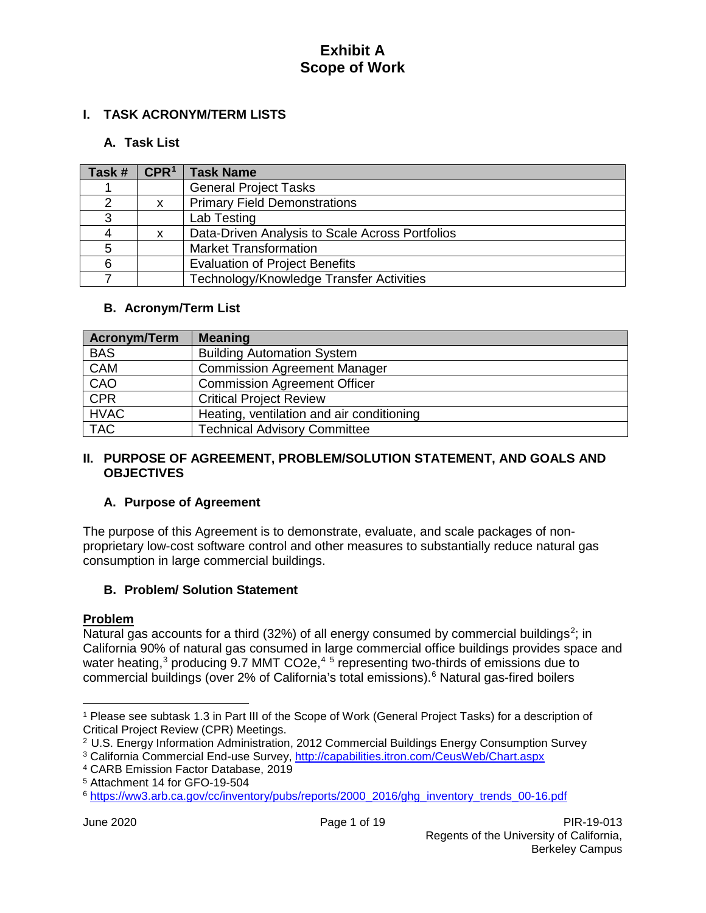## **I. TASK ACRONYM/TERM LISTS**

## **A. Task List**

| Task # | CPR <sup>1</sup> | <b>Task Name</b>                                |
|--------|------------------|-------------------------------------------------|
|        |                  | <b>General Project Tasks</b>                    |
|        |                  | <b>Primary Field Demonstrations</b>             |
| 3      |                  | Lab Testing                                     |
|        | x                | Data-Driven Analysis to Scale Across Portfolios |
| 5      |                  | <b>Market Transformation</b>                    |
|        |                  | <b>Evaluation of Project Benefits</b>           |
|        |                  | Technology/Knowledge Transfer Activities        |

## **B. Acronym/Term List**

| <b>Acronym/Term</b> | <b>Meaning</b>                            |
|---------------------|-------------------------------------------|
| <b>BAS</b>          | <b>Building Automation System</b>         |
| <b>CAM</b>          | <b>Commission Agreement Manager</b>       |
| CAO                 | <b>Commission Agreement Officer</b>       |
| <b>CPR</b>          | <b>Critical Project Review</b>            |
| <b>HVAC</b>         | Heating, ventilation and air conditioning |
| <b>TAC</b>          | <b>Technical Advisory Committee</b>       |

## **II. PURPOSE OF AGREEMENT, PROBLEM/SOLUTION STATEMENT, AND GOALS AND OBJECTIVES**

## **A. Purpose of Agreement**

The purpose of this Agreement is to demonstrate, evaluate, and scale packages of nonproprietary low-cost software control and other measures to substantially reduce natural gas consumption in large commercial buildings.

## **B. Problem/ Solution Statement**

## **Problem**

 $\overline{a}$ 

Natural gas accounts for a third (3[2](#page-3-1)%) of all energy consumed by commercial buildings<sup>2</sup>; in California 90% of natural gas consumed in large commercial office buildings provides space and water heating,<sup>[3](#page-3-2)</sup> producing 9.7 MMT CO2e,<sup>[4](#page-3-3)[5](#page-3-4)</sup> representing two-thirds of emissions due to commercial buildings (over 2% of California's total emissions).[6](#page-3-5) Natural gas-fired boilers

<span id="page-3-0"></span><sup>1</sup> Please see subtask 1.3 in Part III of the Scope of Work (General Project Tasks) for a description of Critical Project Review (CPR) Meetings.

<span id="page-3-1"></span><sup>2</sup> U.S. Energy Information Administration, 2012 Commercial Buildings Energy Consumption Survey

<span id="page-3-2"></span><sup>3</sup> California Commercial End-use Survey, [http://capabilities.itron.com/CeusWeb/Chart.aspx](about:blank)

<span id="page-3-3"></span><sup>4</sup> CARB Emission Factor Database, 2019

<span id="page-3-4"></span><sup>5</sup> Attachment 14 for GFO-19-504

<span id="page-3-5"></span><sup>6</sup> [https://ww3.arb.ca.gov/cc/inventory/pubs/reports/2000\\_2016/ghg\\_inventory\\_trends\\_00-16.pdf](about:blank)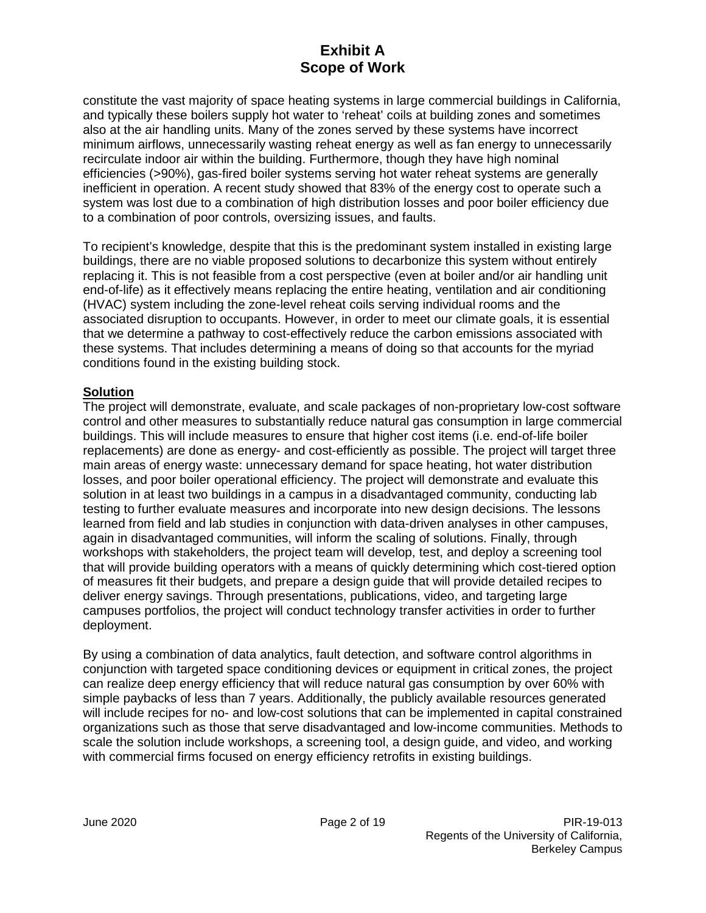constitute the vast majority of space heating systems in large commercial buildings in California, and typically these boilers supply hot water to 'reheat' coils at building zones and sometimes also at the air handling units. Many of the zones served by these systems have incorrect minimum airflows, unnecessarily wasting reheat energy as well as fan energy to unnecessarily recirculate indoor air within the building. Furthermore, though they have high nominal efficiencies (>90%), gas-fired boiler systems serving hot water reheat systems are generally inefficient in operation. A recent study showed that 83% of the energy cost to operate such a system was lost due to a combination of high distribution losses and poor boiler efficiency due to a combination of poor controls, oversizing issues, and faults.

To recipient's knowledge, despite that this is the predominant system installed in existing large buildings, there are no viable proposed solutions to decarbonize this system without entirely replacing it. This is not feasible from a cost perspective (even at boiler and/or air handling unit end-of-life) as it effectively means replacing the entire heating, ventilation and air conditioning (HVAC) system including the zone-level reheat coils serving individual rooms and the associated disruption to occupants. However, in order to meet our climate goals, it is essential that we determine a pathway to cost-effectively reduce the carbon emissions associated with these systems. That includes determining a means of doing so that accounts for the myriad conditions found in the existing building stock.

## **Solution**

The project will demonstrate, evaluate, and scale packages of non-proprietary low-cost software control and other measures to substantially reduce natural gas consumption in large commercial buildings. This will include measures to ensure that higher cost items (i.e. end-of-life boiler replacements) are done as energy- and cost-efficiently as possible. The project will target three main areas of energy waste: unnecessary demand for space heating, hot water distribution losses, and poor boiler operational efficiency. The project will demonstrate and evaluate this solution in at least two buildings in a campus in a disadvantaged community, conducting lab testing to further evaluate measures and incorporate into new design decisions. The lessons learned from field and lab studies in conjunction with data-driven analyses in other campuses, again in disadvantaged communities, will inform the scaling of solutions. Finally, through workshops with stakeholders, the project team will develop, test, and deploy a screening tool that will provide building operators with a means of quickly determining which cost-tiered option of measures fit their budgets, and prepare a design guide that will provide detailed recipes to deliver energy savings. Through presentations, publications, video, and targeting large campuses portfolios, the project will conduct technology transfer activities in order to further deployment.

By using a combination of data analytics, fault detection, and software control algorithms in conjunction with targeted space conditioning devices or equipment in critical zones, the project can realize deep energy efficiency that will reduce natural gas consumption by over 60% with simple paybacks of less than 7 years. Additionally, the publicly available resources generated will include recipes for no- and low-cost solutions that can be implemented in capital constrained organizations such as those that serve disadvantaged and low-income communities. Methods to scale the solution include workshops, a screening tool, a design guide, and video, and working with commercial firms focused on energy efficiency retrofits in existing buildings.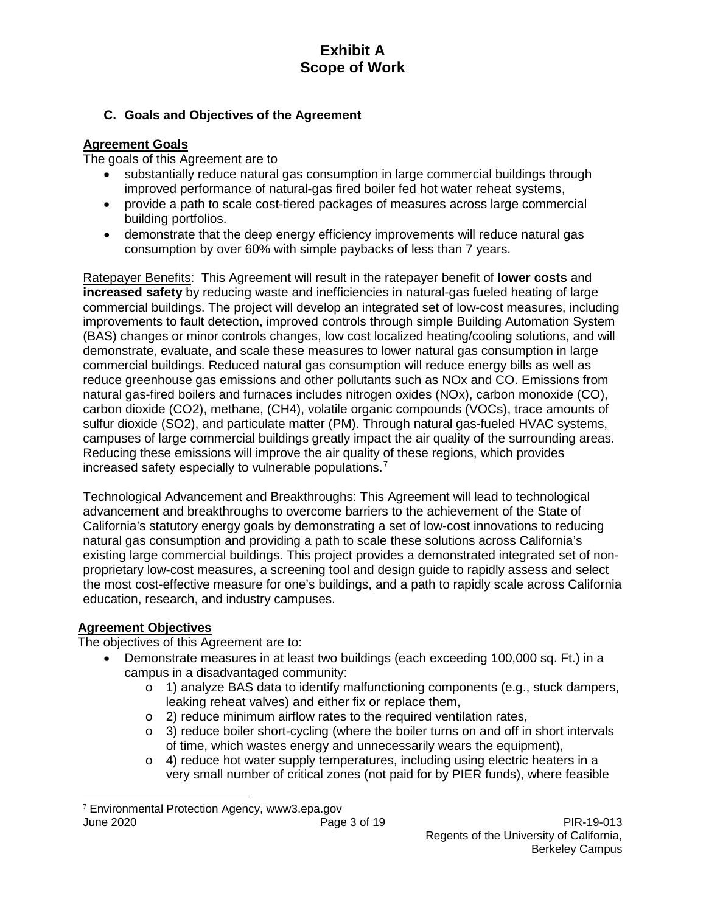## **C. Goals and Objectives of the Agreement**

## **Agreement Goals**

The goals of this Agreement are to

- substantially reduce natural gas consumption in large commercial buildings through improved performance of natural-gas fired boiler fed hot water reheat systems,
- provide a path to scale cost-tiered packages of measures across large commercial building portfolios.
- demonstrate that the deep energy efficiency improvements will reduce natural gas consumption by over 60% with simple paybacks of less than 7 years.

Ratepayer Benefits: This Agreement will result in the ratepayer benefit of **lower costs** and **increased safety** by reducing waste and inefficiencies in natural-gas fueled heating of large commercial buildings. The project will develop an integrated set of low-cost measures, including improvements to fault detection, improved controls through simple Building Automation System (BAS) changes or minor controls changes, low cost localized heating/cooling solutions, and will demonstrate, evaluate, and scale these measures to lower natural gas consumption in large commercial buildings. Reduced natural gas consumption will reduce energy bills as well as reduce greenhouse gas emissions and other pollutants such as NOx and CO. Emissions from natural gas-fired boilers and furnaces includes nitrogen oxides (NOx), carbon monoxide (CO), carbon dioxide (CO2), methane, (CH4), volatile organic compounds (VOCs), trace amounts of sulfur dioxide (SO2), and particulate matter (PM). Through natural gas-fueled HVAC systems, campuses of large commercial buildings greatly impact the air quality of the surrounding areas. Reducing these emissions will improve the air quality of these regions, which provides increased safety especially to vulnerable populations.[7](#page-5-0)

Technological Advancement and Breakthroughs: This Agreement will lead to technological advancement and breakthroughs to overcome barriers to the achievement of the State of California's statutory energy goals by demonstrating a set of low-cost innovations to reducing natural gas consumption and providing a path to scale these solutions across California's existing large commercial buildings. This project provides a demonstrated integrated set of nonproprietary low-cost measures, a screening tool and design guide to rapidly assess and select the most cost-effective measure for one's buildings, and a path to rapidly scale across California education, research, and industry campuses.

## **Agreement Objectives**

The objectives of this Agreement are to:

- Demonstrate measures in at least two buildings (each exceeding 100,000 sq. Ft.) in a campus in a disadvantaged community:
	- o 1) analyze BAS data to identify malfunctioning components (e.g., stuck dampers, leaking reheat valves) and either fix or replace them,
	- o 2) reduce minimum airflow rates to the required ventilation rates,
	- $\circ$  3) reduce boiler short-cycling (where the boiler turns on and off in short intervals of time, which wastes energy and unnecessarily wears the equipment),
	- $\circ$  4) reduce hot water supply temperatures, including using electric heaters in a very small number of critical zones (not paid for by PIER funds), where feasible

<span id="page-5-0"></span>June 2020 Page 3 of 19 PIR-19-013  $7$  Environmental Protection Agency, www3.epa.gov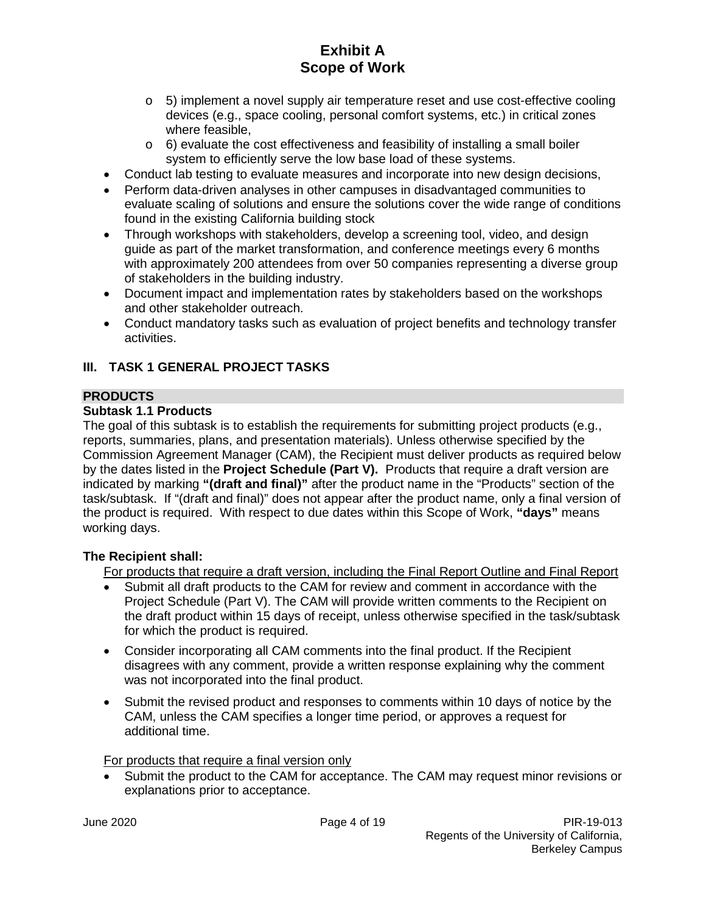- $\circ$  5) implement a novel supply air temperature reset and use cost-effective cooling devices (e.g., space cooling, personal comfort systems, etc.) in critical zones where feasible,
- $\circ$  6) evaluate the cost effectiveness and feasibility of installing a small boiler system to efficiently serve the low base load of these systems.
- Conduct lab testing to evaluate measures and incorporate into new design decisions,
- Perform data-driven analyses in other campuses in disadvantaged communities to evaluate scaling of solutions and ensure the solutions cover the wide range of conditions found in the existing California building stock
- Through workshops with stakeholders, develop a screening tool, video, and design guide as part of the market transformation, and conference meetings every 6 months with approximately 200 attendees from over 50 companies representing a diverse group of stakeholders in the building industry.
- Document impact and implementation rates by stakeholders based on the workshops and other stakeholder outreach.
- Conduct mandatory tasks such as evaluation of project benefits and technology transfer activities.

## **III. TASK 1 GENERAL PROJECT TASKS**

## **PRODUCTS**

## **Subtask 1.1 Products**

The goal of this subtask is to establish the requirements for submitting project products (e.g., reports, summaries, plans, and presentation materials). Unless otherwise specified by the Commission Agreement Manager (CAM), the Recipient must deliver products as required below by the dates listed in the **Project Schedule (Part V).** Products that require a draft version are indicated by marking **"(draft and final)"** after the product name in the "Products" section of the task/subtask. If "(draft and final)" does not appear after the product name, only a final version of the product is required. With respect to due dates within this Scope of Work, **"days"** means working days.

## **The Recipient shall:**

For products that require a draft version, including the Final Report Outline and Final Report

- Submit all draft products to the CAM for review and comment in accordance with the Project Schedule (Part V). The CAM will provide written comments to the Recipient on the draft product within 15 days of receipt, unless otherwise specified in the task/subtask for which the product is required.
- Consider incorporating all CAM comments into the final product. If the Recipient disagrees with any comment, provide a written response explaining why the comment was not incorporated into the final product.
- Submit the revised product and responses to comments within 10 days of notice by the CAM, unless the CAM specifies a longer time period, or approves a request for additional time.

For products that require a final version only

• Submit the product to the CAM for acceptance. The CAM may request minor revisions or explanations prior to acceptance.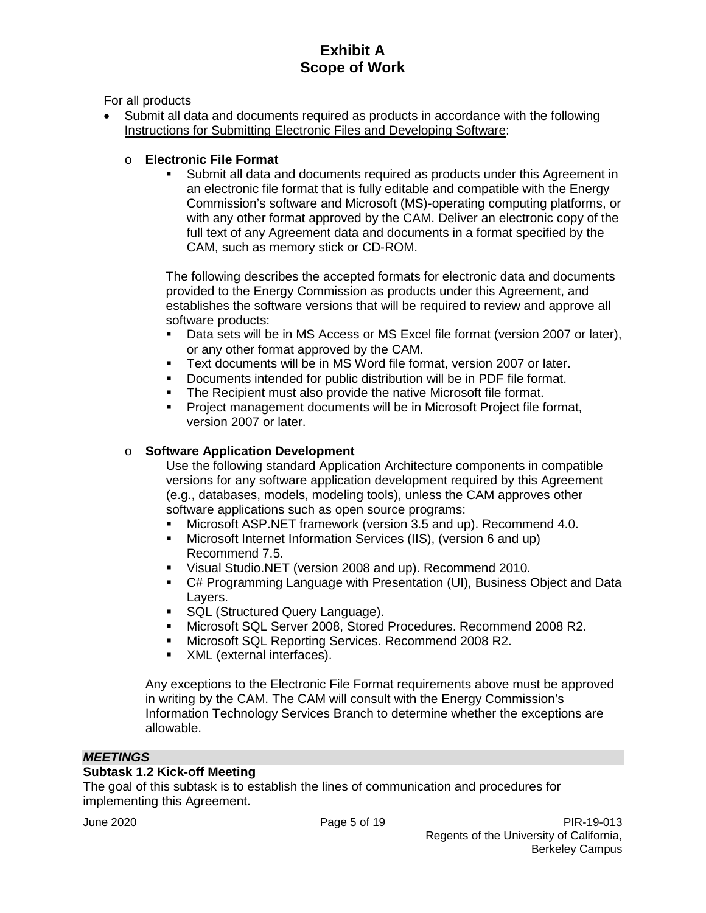For all products

• Submit all data and documents required as products in accordance with the following Instructions for Submitting Electronic Files and Developing Software:

# o **Electronic File Format**

 Submit all data and documents required as products under this Agreement in an electronic file format that is fully editable and compatible with the Energy Commission's software and Microsoft (MS)-operating computing platforms, or with any other format approved by the CAM. Deliver an electronic copy of the full text of any Agreement data and documents in a format specified by the CAM, such as memory stick or CD-ROM.

The following describes the accepted formats for electronic data and documents provided to the Energy Commission as products under this Agreement, and establishes the software versions that will be required to review and approve all software products:

- Data sets will be in MS Access or MS Excel file format (version 2007 or later), or any other format approved by the CAM.
- Text documents will be in MS Word file format, version 2007 or later.
- Documents intended for public distribution will be in PDF file format.
- The Recipient must also provide the native Microsoft file format.
- Project management documents will be in Microsoft Project file format, version 2007 or later.

## o **Software Application Development**

Use the following standard Application Architecture components in compatible versions for any software application development required by this Agreement (e.g., databases, models, modeling tools), unless the CAM approves other software applications such as open source programs:

- Microsoft ASP.NET framework (version 3.5 and up). Recommend 4.0.
- Microsoft Internet Information Services (IIS), (version 6 and up) Recommend 7.5.
- Visual Studio.NET (version 2008 and up). Recommend 2010.
- C# Programming Language with Presentation (UI), Business Object and Data Layers.
- **SQL (Structured Query Language).**
- Microsoft SQL Server 2008, Stored Procedures. Recommend 2008 R2.
- **Microsoft SQL Reporting Services. Recommend 2008 R2.**
- **XML** (external interfaces).

Any exceptions to the Electronic File Format requirements above must be approved in writing by the CAM. The CAM will consult with the Energy Commission's Information Technology Services Branch to determine whether the exceptions are allowable.

## *MEETINGS*

## **Subtask 1.2 Kick-off Meeting**

The goal of this subtask is to establish the lines of communication and procedures for implementing this Agreement.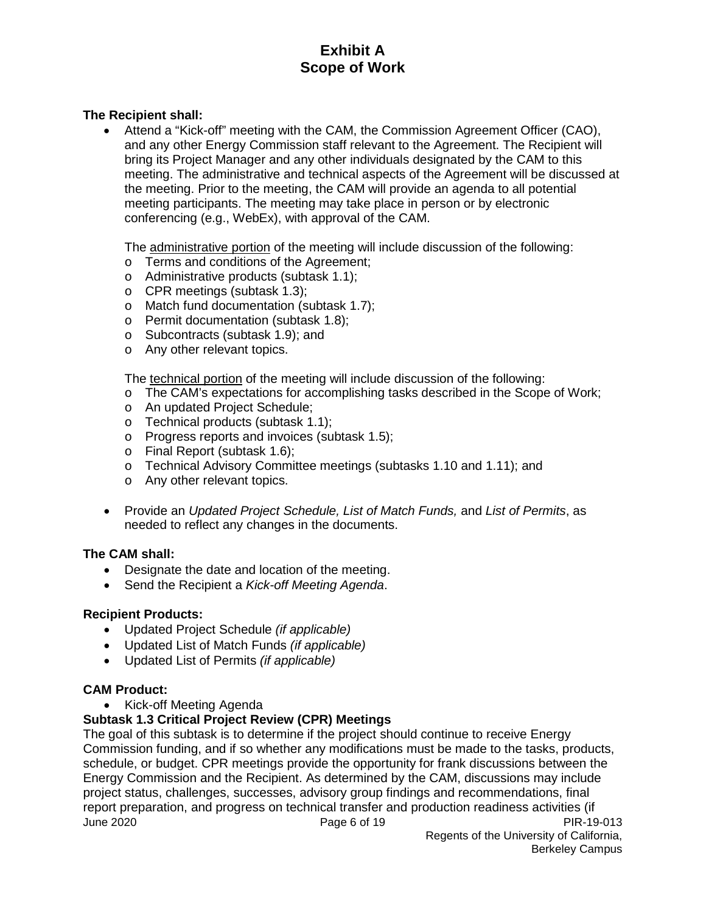## **The Recipient shall:**

• Attend a "Kick-off" meeting with the CAM, the Commission Agreement Officer (CAO), and any other Energy Commission staff relevant to the Agreement. The Recipient will bring its Project Manager and any other individuals designated by the CAM to this meeting. The administrative and technical aspects of the Agreement will be discussed at the meeting. Prior to the meeting, the CAM will provide an agenda to all potential meeting participants. The meeting may take place in person or by electronic conferencing (e.g., WebEx), with approval of the CAM.

The administrative portion of the meeting will include discussion of the following:

- o Terms and conditions of the Agreement;
- o Administrative products (subtask 1.1);
- o CPR meetings (subtask 1.3);
- o Match fund documentation (subtask 1.7);
- o Permit documentation (subtask 1.8);
- o Subcontracts (subtask 1.9); and
- o Any other relevant topics.

The technical portion of the meeting will include discussion of the following:

- o The CAM's expectations for accomplishing tasks described in the Scope of Work;
- o An updated Project Schedule;
- o Technical products (subtask 1.1);
- o Progress reports and invoices (subtask 1.5);
- o Final Report (subtask 1.6);
- o Technical Advisory Committee meetings (subtasks 1.10 and 1.11); and
- o Any other relevant topics.
- Provide an *Updated Project Schedule, List of Match Funds,* and *List of Permits*, as needed to reflect any changes in the documents.

#### **The CAM shall:**

- Designate the date and location of the meeting.
- Send the Recipient a *Kick-off Meeting Agenda*.

#### **Recipient Products:**

- Updated Project Schedule *(if applicable)*
- Updated List of Match Funds *(if applicable)*
- Updated List of Permits *(if applicable)*

#### **CAM Product:**

• Kick-off Meeting Agenda

## **Subtask 1.3 Critical Project Review (CPR) Meetings**

June 2020 Page 6 of 19 PIR-19-013 The goal of this subtask is to determine if the project should continue to receive Energy Commission funding, and if so whether any modifications must be made to the tasks, products, schedule, or budget. CPR meetings provide the opportunity for frank discussions between the Energy Commission and the Recipient. As determined by the CAM, discussions may include project status, challenges, successes, advisory group findings and recommendations, final report preparation, and progress on technical transfer and production readiness activities (if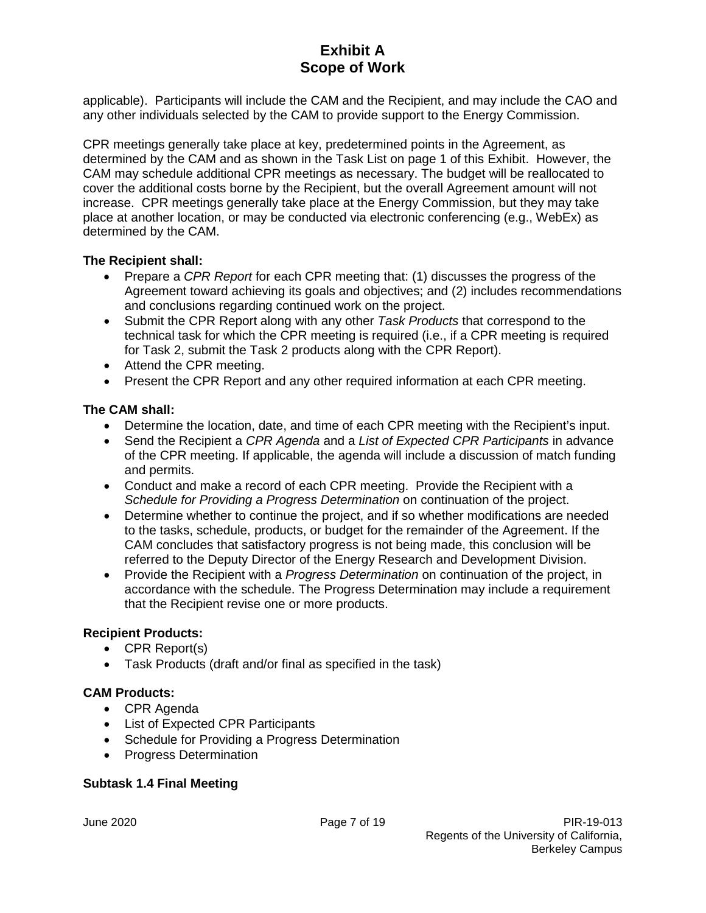applicable). Participants will include the CAM and the Recipient, and may include the CAO and any other individuals selected by the CAM to provide support to the Energy Commission.

CPR meetings generally take place at key, predetermined points in the Agreement, as determined by the CAM and as shown in the Task List on page 1 of this Exhibit. However, the CAM may schedule additional CPR meetings as necessary. The budget will be reallocated to cover the additional costs borne by the Recipient, but the overall Agreement amount will not increase. CPR meetings generally take place at the Energy Commission, but they may take place at another location, or may be conducted via electronic conferencing (e.g., WebEx) as determined by the CAM.

## **The Recipient shall:**

- Prepare a *CPR Report* for each CPR meeting that: (1) discusses the progress of the Agreement toward achieving its goals and objectives; and (2) includes recommendations and conclusions regarding continued work on the project.
- Submit the CPR Report along with any other *Task Products* that correspond to the technical task for which the CPR meeting is required (i.e., if a CPR meeting is required for Task 2, submit the Task 2 products along with the CPR Report).
- Attend the CPR meeting.
- Present the CPR Report and any other required information at each CPR meeting.

## **The CAM shall:**

- Determine the location, date, and time of each CPR meeting with the Recipient's input.
- Send the Recipient a *CPR Agenda* and a *List of Expected CPR Participants* in advance of the CPR meeting. If applicable, the agenda will include a discussion of match funding and permits.
- Conduct and make a record of each CPR meeting. Provide the Recipient with a *Schedule for Providing a Progress Determination* on continuation of the project.
- Determine whether to continue the project, and if so whether modifications are needed to the tasks, schedule, products, or budget for the remainder of the Agreement. If the CAM concludes that satisfactory progress is not being made, this conclusion will be referred to the Deputy Director of the Energy Research and Development Division.
- Provide the Recipient with a *Progress Determination* on continuation of the project, in accordance with the schedule. The Progress Determination may include a requirement that the Recipient revise one or more products.

## **Recipient Products:**

- CPR Report(s)
- Task Products (draft and/or final as specified in the task)

## **CAM Products:**

- CPR Agenda
- List of Expected CPR Participants
- Schedule for Providing a Progress Determination
- Progress Determination

## **Subtask 1.4 Final Meeting**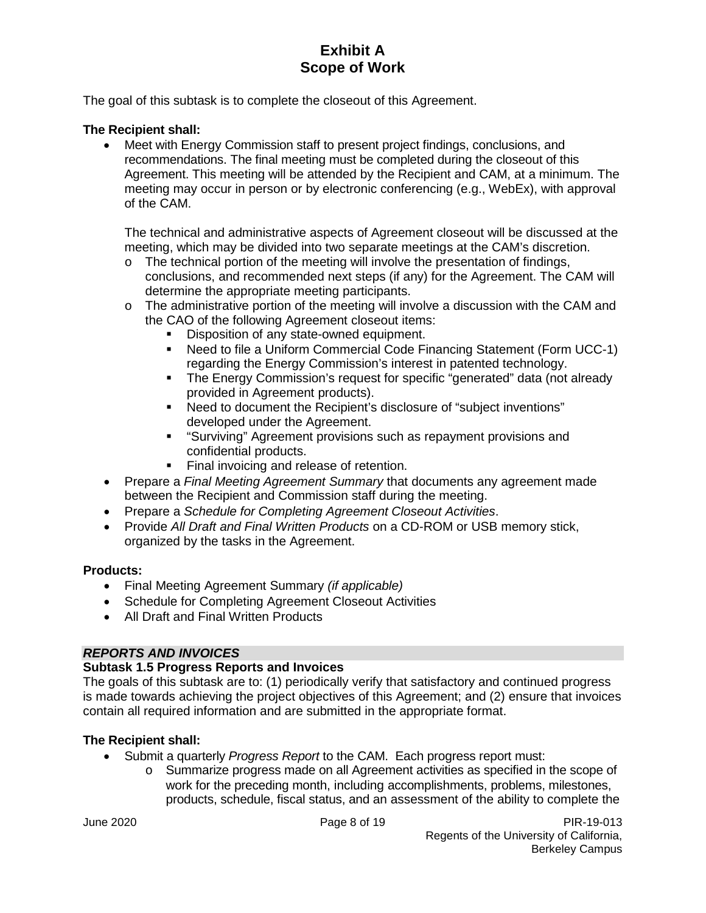The goal of this subtask is to complete the closeout of this Agreement.

## **The Recipient shall:**

• Meet with Energy Commission staff to present project findings, conclusions, and recommendations. The final meeting must be completed during the closeout of this Agreement. This meeting will be attended by the Recipient and CAM, at a minimum. The meeting may occur in person or by electronic conferencing (e.g., WebEx), with approval of the CAM.

The technical and administrative aspects of Agreement closeout will be discussed at the meeting, which may be divided into two separate meetings at the CAM's discretion.

- $\circ$  The technical portion of the meeting will involve the presentation of findings, conclusions, and recommended next steps (if any) for the Agreement. The CAM will determine the appropriate meeting participants.
- $\circ$  The administrative portion of the meeting will involve a discussion with the CAM and the CAO of the following Agreement closeout items:
	- Disposition of any state-owned equipment.
	- Need to file a Uniform Commercial Code Financing Statement (Form UCC-1) regarding the Energy Commission's interest in patented technology.
	- The Energy Commission's request for specific "generated" data (not already provided in Agreement products).
	- Need to document the Recipient's disclosure of "subject inventions" developed under the Agreement.
	- "Surviving" Agreement provisions such as repayment provisions and confidential products.
	- Final invoicing and release of retention.
- Prepare a *Final Meeting Agreement Summary* that documents any agreement made between the Recipient and Commission staff during the meeting.
- Prepare a *Schedule for Completing Agreement Closeout Activities*.
- Provide *All Draft and Final Written Products* on a CD-ROM or USB memory stick, organized by the tasks in the Agreement.

## **Products:**

- Final Meeting Agreement Summary *(if applicable)*
- Schedule for Completing Agreement Closeout Activities
- All Draft and Final Written Products

## *REPORTS AND INVOICES*

## **Subtask 1.5 Progress Reports and Invoices**

The goals of this subtask are to: (1) periodically verify that satisfactory and continued progress is made towards achieving the project objectives of this Agreement; and (2) ensure that invoices contain all required information and are submitted in the appropriate format.

- Submit a quarterly *Progress Report* to the CAM. Each progress report must:
	- o Summarize progress made on all Agreement activities as specified in the scope of work for the preceding month, including accomplishments, problems, milestones, products, schedule, fiscal status, and an assessment of the ability to complete the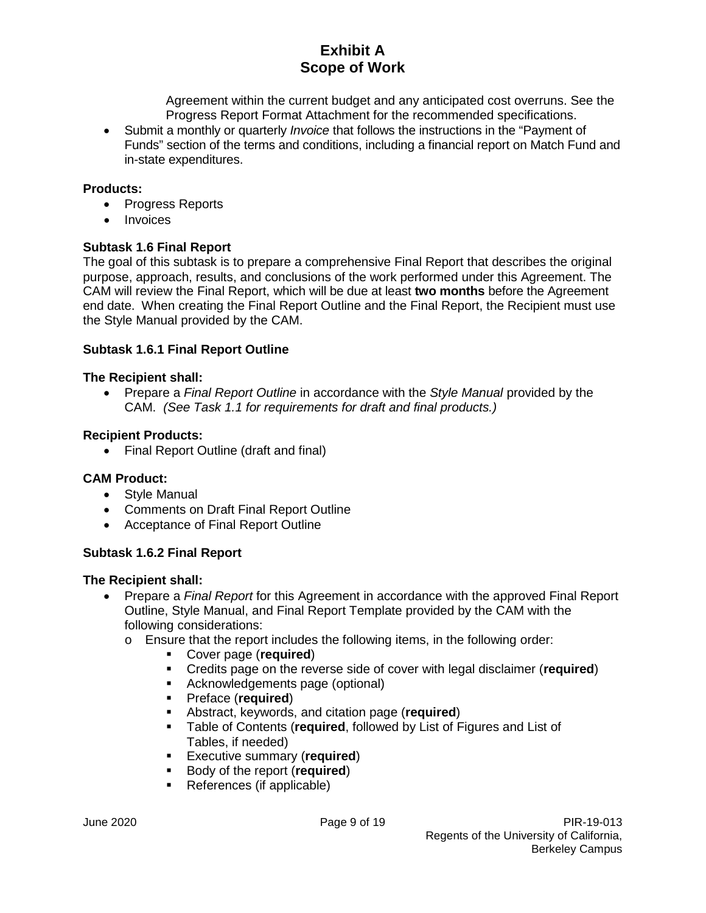Agreement within the current budget and any anticipated cost overruns. See the Progress Report Format Attachment for the recommended specifications.

• Submit a monthly or quarterly *Invoice* that follows the instructions in the "Payment of Funds" section of the terms and conditions, including a financial report on Match Fund and in-state expenditures.

## **Products:**

- Progress Reports
- Invoices

## **Subtask 1.6 Final Report**

The goal of this subtask is to prepare a comprehensive Final Report that describes the original purpose, approach, results, and conclusions of the work performed under this Agreement. The CAM will review the Final Report, which will be due at least **two months** before the Agreement end date. When creating the Final Report Outline and the Final Report, the Recipient must use the Style Manual provided by the CAM.

## **Subtask 1.6.1 Final Report Outline**

## **The Recipient shall:**

• Prepare a *Final Report Outline* in accordance with the *Style Manual* provided by the CAM. *(See Task 1.1 for requirements for draft and final products.)*

#### **Recipient Products:**

• Final Report Outline (draft and final)

## **CAM Product:**

- Style Manual
- Comments on Draft Final Report Outline
- Acceptance of Final Report Outline

## **Subtask 1.6.2 Final Report**

- Prepare a *Final Report* for this Agreement in accordance with the approved Final Report Outline, Style Manual, and Final Report Template provided by the CAM with the following considerations:
	- o Ensure that the report includes the following items, in the following order:
		- Cover page (**required**)
		- Credits page on the reverse side of cover with legal disclaimer (**required**)
		- **Acknowledgements page (optional)**<br>**E** Preface (required)
		- Preface (**required**)
		- Abstract, keywords, and citation page (**required**)
		- Table of Contents (**required**, followed by List of Figures and List of Tables, if needed)
		- Executive summary (**required**)
		- Body of the report (**required**)
		- References (if applicable)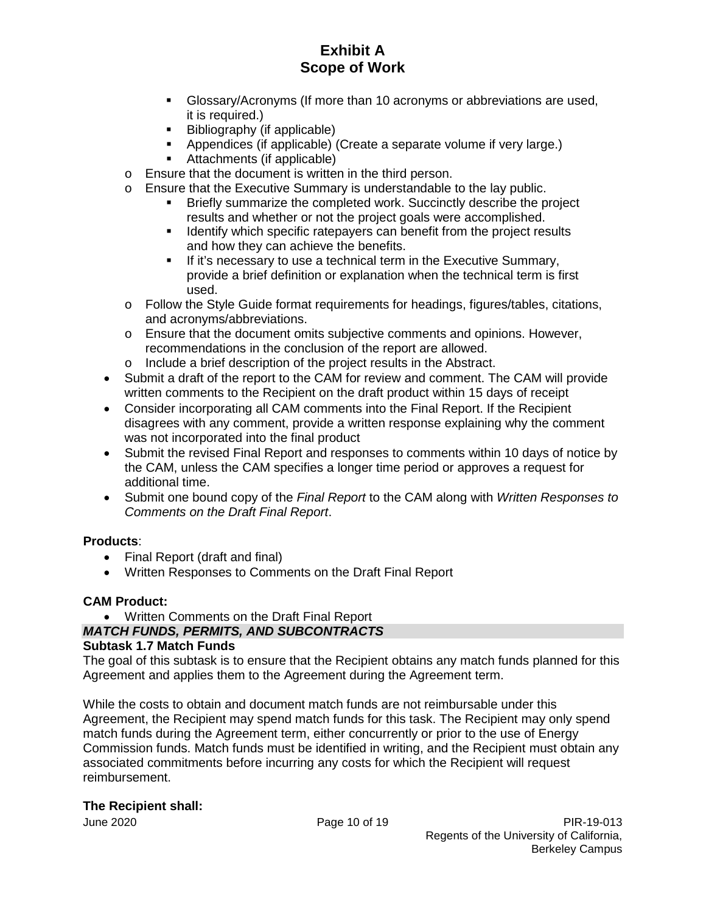- Glossary/Acronyms (If more than 10 acronyms or abbreviations are used, it is required.)
- Bibliography (if applicable)
- Appendices (if applicable) (Create a separate volume if very large.)
- Attachments (if applicable)
- o Ensure that the document is written in the third person.
- o Ensure that the Executive Summary is understandable to the lay public.
	- Briefly summarize the completed work. Succinctly describe the project results and whether or not the project goals were accomplished.
		- I dentify which specific ratepayers can benefit from the project results and how they can achieve the benefits.
		- **If it's necessary to use a technical term in the Executive Summary,** provide a brief definition or explanation when the technical term is first used.
- o Follow the Style Guide format requirements for headings, figures/tables, citations, and acronyms/abbreviations.
- o Ensure that the document omits subjective comments and opinions. However, recommendations in the conclusion of the report are allowed.
- o Include a brief description of the project results in the Abstract.
- Submit a draft of the report to the CAM for review and comment. The CAM will provide written comments to the Recipient on the draft product within 15 days of receipt
- Consider incorporating all CAM comments into the Final Report. If the Recipient disagrees with any comment, provide a written response explaining why the comment was not incorporated into the final product
- Submit the revised Final Report and responses to comments within 10 days of notice by the CAM, unless the CAM specifies a longer time period or approves a request for additional time.
- Submit one bound copy of the *Final Report* to the CAM along with *Written Responses to Comments on the Draft Final Report*.

## **Products**:

- Final Report (draft and final)
- Written Responses to Comments on the Draft Final Report

## **CAM Product:**

• Written Comments on the Draft Final Report

#### *MATCH FUNDS, PERMITS, AND SUBCONTRACTS* **Subtask 1.7 Match Funds**

The goal of this subtask is to ensure that the Recipient obtains any match funds planned for this Agreement and applies them to the Agreement during the Agreement term.

While the costs to obtain and document match funds are not reimbursable under this Agreement, the Recipient may spend match funds for this task. The Recipient may only spend match funds during the Agreement term, either concurrently or prior to the use of Energy Commission funds. Match funds must be identified in writing, and the Recipient must obtain any associated commitments before incurring any costs for which the Recipient will request reimbursement.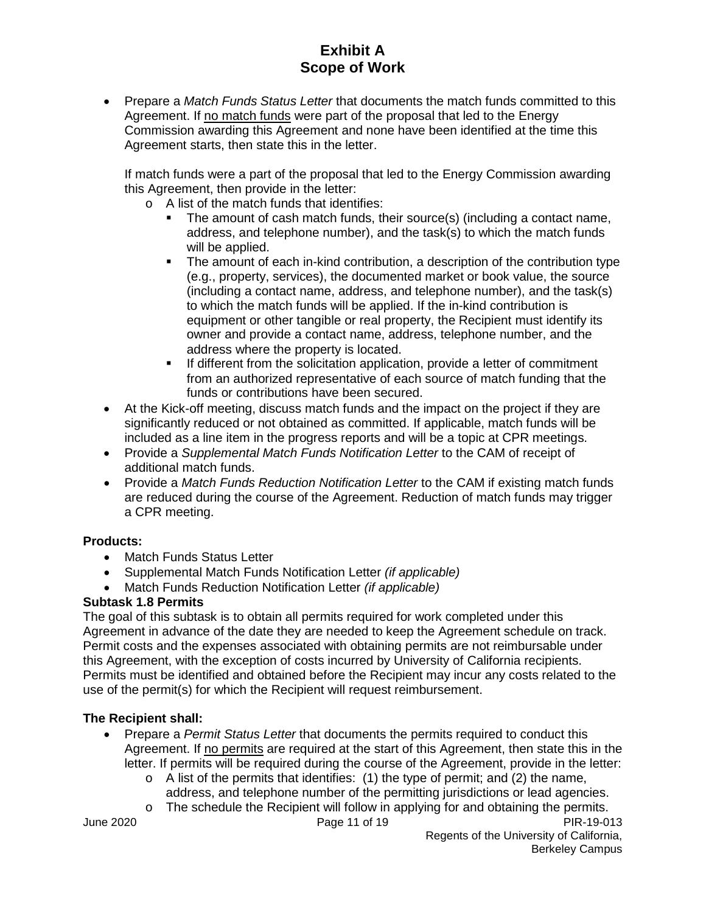• Prepare a *Match Funds Status Letter* that documents the match funds committed to this Agreement. If no match funds were part of the proposal that led to the Energy Commission awarding this Agreement and none have been identified at the time this Agreement starts, then state this in the letter.

If match funds were a part of the proposal that led to the Energy Commission awarding this Agreement, then provide in the letter:

- o A list of the match funds that identifies:
	- The amount of cash match funds, their source(s) (including a contact name, address, and telephone number), and the task(s) to which the match funds will be applied.
	- The amount of each in-kind contribution, a description of the contribution type (e.g., property, services), the documented market or book value, the source (including a contact name, address, and telephone number), and the task(s) to which the match funds will be applied. If the in-kind contribution is equipment or other tangible or real property, the Recipient must identify its owner and provide a contact name, address, telephone number, and the address where the property is located.
	- If different from the solicitation application, provide a letter of commitment from an authorized representative of each source of match funding that the funds or contributions have been secured.
- At the Kick-off meeting, discuss match funds and the impact on the project if they are significantly reduced or not obtained as committed. If applicable, match funds will be included as a line item in the progress reports and will be a topic at CPR meetings.
- Provide a *Supplemental Match Funds Notification Letter* to the CAM of receipt of additional match funds.
- Provide a *Match Funds Reduction Notification Letter* to the CAM if existing match funds are reduced during the course of the Agreement. Reduction of match funds may trigger a CPR meeting.

## **Products:**

- Match Funds Status Letter
- Supplemental Match Funds Notification Letter *(if applicable)*
- Match Funds Reduction Notification Letter *(if applicable)*

## **Subtask 1.8 Permits**

The goal of this subtask is to obtain all permits required for work completed under this Agreement in advance of the date they are needed to keep the Agreement schedule on track. Permit costs and the expenses associated with obtaining permits are not reimbursable under this Agreement, with the exception of costs incurred by University of California recipients. Permits must be identified and obtained before the Recipient may incur any costs related to the use of the permit(s) for which the Recipient will request reimbursement.

- Prepare a *Permit Status Letter* that documents the permits required to conduct this Agreement. If no permits are required at the start of this Agreement, then state this in the letter. If permits will be required during the course of the Agreement, provide in the letter:
	- $\circ$  A list of the permits that identifies: (1) the type of permit; and (2) the name, address, and telephone number of the permitting jurisdictions or lead agencies.
	- $\circ$  The schedule the Recipient will follow in applying for and obtaining the permits.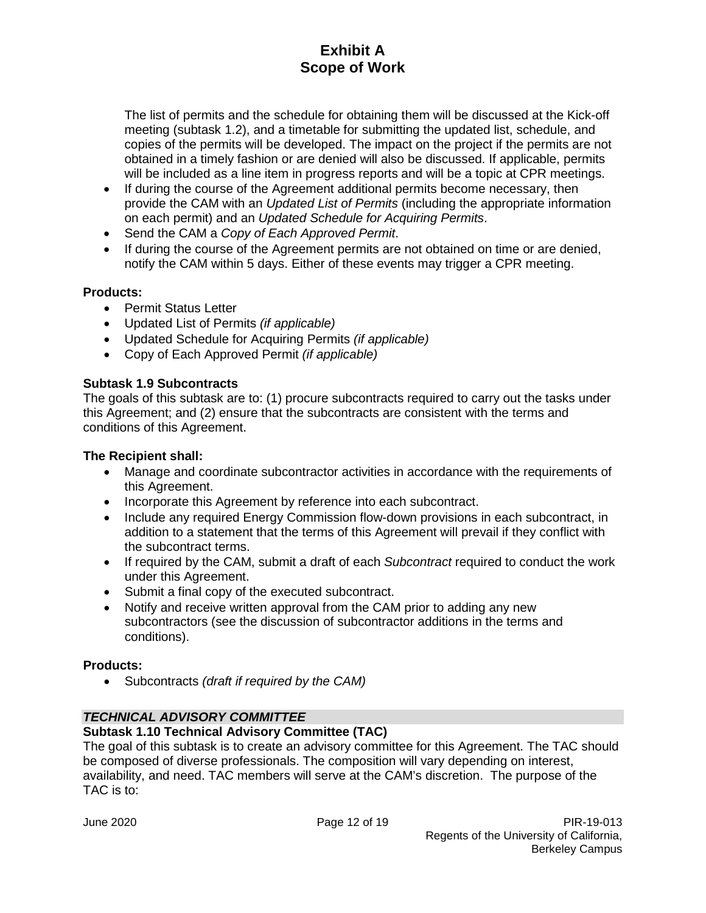The list of permits and the schedule for obtaining them will be discussed at the Kick-off meeting (subtask 1.2), and a timetable for submitting the updated list, schedule, and copies of the permits will be developed. The impact on the project if the permits are not obtained in a timely fashion or are denied will also be discussed. If applicable, permits will be included as a line item in progress reports and will be a topic at CPR meetings.

- If during the course of the Agreement additional permits become necessary, then provide the CAM with an *Updated List of Permits* (including the appropriate information on each permit) and an *Updated Schedule for Acquiring Permits*.
- Send the CAM a *Copy of Each Approved Permit*.
- If during the course of the Agreement permits are not obtained on time or are denied, notify the CAM within 5 days. Either of these events may trigger a CPR meeting.

## **Products:**

- Permit Status Letter
- Updated List of Permits *(if applicable)*
- Updated Schedule for Acquiring Permits *(if applicable)*
- Copy of Each Approved Permit *(if applicable)*

## **Subtask 1.9 Subcontracts**

The goals of this subtask are to: (1) procure subcontracts required to carry out the tasks under this Agreement; and (2) ensure that the subcontracts are consistent with the terms and conditions of this Agreement.

## **The Recipient shall:**

- Manage and coordinate subcontractor activities in accordance with the requirements of this Agreement.
- Incorporate this Agreement by reference into each subcontract.
- Include any required Energy Commission flow-down provisions in each subcontract, in addition to a statement that the terms of this Agreement will prevail if they conflict with the subcontract terms.
- If required by the CAM, submit a draft of each *Subcontract* required to conduct the work under this Agreement.
- Submit a final copy of the executed subcontract.
- Notify and receive written approval from the CAM prior to adding any new subcontractors (see the discussion of subcontractor additions in the terms and conditions).

## **Products:**

• Subcontracts *(draft if required by the CAM)*

## *TECHNICAL ADVISORY COMMITTEE*

## **Subtask 1.10 Technical Advisory Committee (TAC)**

The goal of this subtask is to create an advisory committee for this Agreement. The TAC should be composed of diverse professionals. The composition will vary depending on interest, availability, and need. TAC members will serve at the CAM's discretion. The purpose of the TAC is to: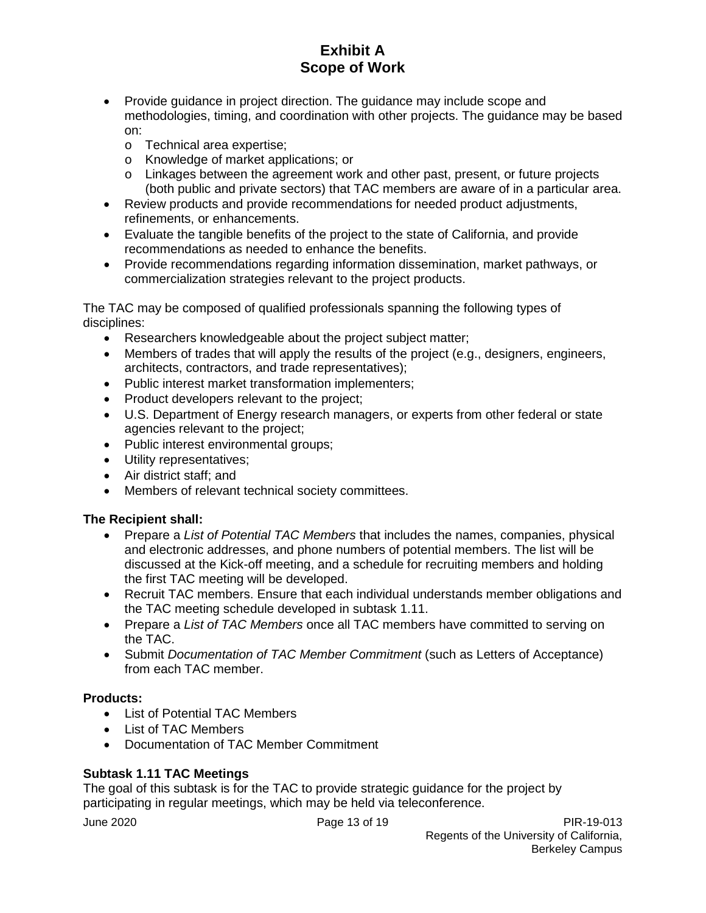- Provide guidance in project direction. The guidance may include scope and methodologies, timing, and coordination with other projects. The guidance may be based on:
	- o Technical area expertise;
	- o Knowledge of market applications; or
	- $\circ$  Linkages between the agreement work and other past, present, or future projects (both public and private sectors) that TAC members are aware of in a particular area.
- Review products and provide recommendations for needed product adjustments, refinements, or enhancements.
- Evaluate the tangible benefits of the project to the state of California, and provide recommendations as needed to enhance the benefits.
- Provide recommendations regarding information dissemination, market pathways, or commercialization strategies relevant to the project products.

The TAC may be composed of qualified professionals spanning the following types of disciplines:

- Researchers knowledgeable about the project subject matter;
- Members of trades that will apply the results of the project (e.g., designers, engineers, architects, contractors, and trade representatives);
- Public interest market transformation implementers;
- Product developers relevant to the project;
- U.S. Department of Energy research managers, or experts from other federal or state agencies relevant to the project;
- Public interest environmental groups;
- Utility representatives;
- Air district staff; and
- Members of relevant technical society committees.

## **The Recipient shall:**

- Prepare a *List of Potential TAC Members* that includes the names, companies, physical and electronic addresses, and phone numbers of potential members. The list will be discussed at the Kick-off meeting, and a schedule for recruiting members and holding the first TAC meeting will be developed.
- Recruit TAC members. Ensure that each individual understands member obligations and the TAC meeting schedule developed in subtask 1.11.
- Prepare a *List of TAC Members* once all TAC members have committed to serving on the TAC.
- Submit *Documentation of TAC Member Commitment* (such as Letters of Acceptance) from each TAC member.

## **Products:**

- List of Potential TAC Members
- List of TAC Members
- Documentation of TAC Member Commitment

## **Subtask 1.11 TAC Meetings**

The goal of this subtask is for the TAC to provide strategic guidance for the project by participating in regular meetings, which may be held via teleconference.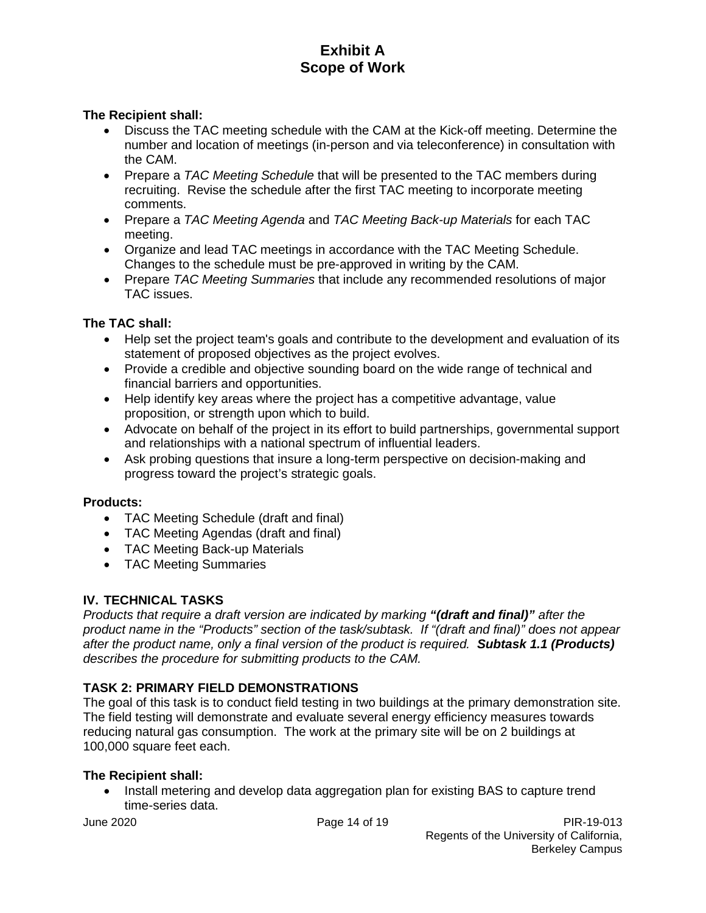## **The Recipient shall:**

- Discuss the TAC meeting schedule with the CAM at the Kick-off meeting. Determine the number and location of meetings (in-person and via teleconference) in consultation with the CAM.
- Prepare a *TAC Meeting Schedule* that will be presented to the TAC members during recruiting. Revise the schedule after the first TAC meeting to incorporate meeting comments.
- Prepare a *TAC Meeting Agenda* and *TAC Meeting Back-up Materials* for each TAC meeting.
- Organize and lead TAC meetings in accordance with the TAC Meeting Schedule. Changes to the schedule must be pre-approved in writing by the CAM.
- Prepare *TAC Meeting Summaries* that include any recommended resolutions of major TAC issues.

## **The TAC shall:**

- Help set the project team's goals and contribute to the development and evaluation of its statement of proposed objectives as the project evolves.
- Provide a credible and objective sounding board on the wide range of technical and financial barriers and opportunities.
- Help identify key areas where the project has a competitive advantage, value proposition, or strength upon which to build.
- Advocate on behalf of the project in its effort to build partnerships, governmental support and relationships with a national spectrum of influential leaders.
- Ask probing questions that insure a long-term perspective on decision-making and progress toward the project's strategic goals.

## **Products:**

- TAC Meeting Schedule (draft and final)
- TAC Meeting Agendas (draft and final)
- TAC Meeting Back-up Materials
- TAC Meeting Summaries

## **IV. TECHNICAL TASKS**

*Products that require a draft version are indicated by marking "(draft and final)" after the product name in the "Products" section of the task/subtask. If "(draft and final)" does not appear after the product name, only a final version of the product is required. Subtask 1.1 (Products) describes the procedure for submitting products to the CAM.* 

## **TASK 2: PRIMARY FIELD DEMONSTRATIONS**

The goal of this task is to conduct field testing in two buildings at the primary demonstration site. The field testing will demonstrate and evaluate several energy efficiency measures towards reducing natural gas consumption. The work at the primary site will be on 2 buildings at 100,000 square feet each.

## **The Recipient shall:**

• Install metering and develop data aggregation plan for existing BAS to capture trend time-series data.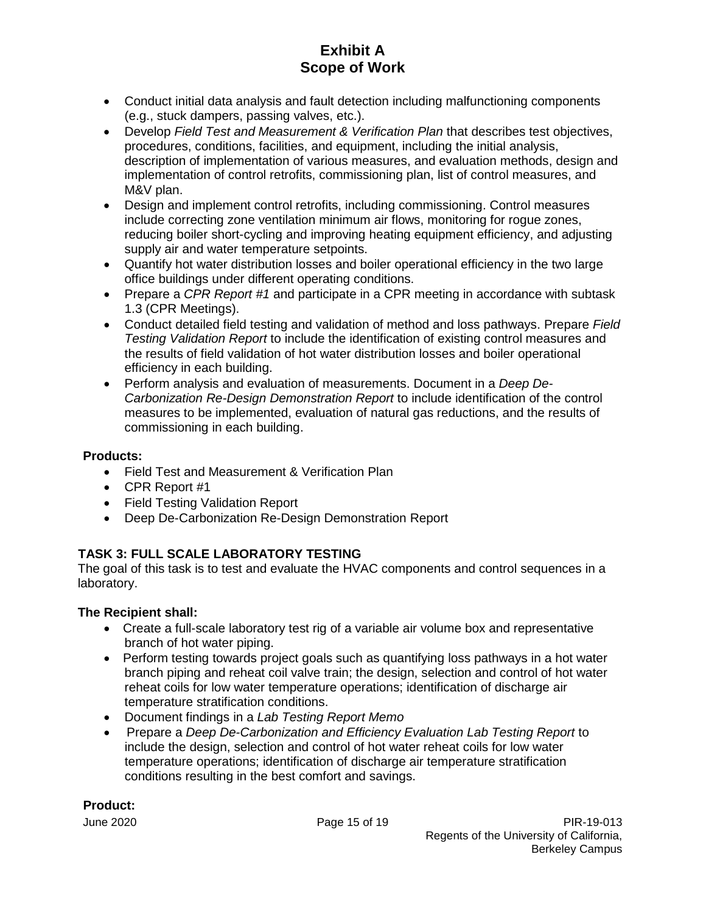- Conduct initial data analysis and fault detection including malfunctioning components (e.g., stuck dampers, passing valves, etc.).
- Develop *Field Test and Measurement & Verification Plan* that describes test objectives, procedures, conditions, facilities, and equipment, including the initial analysis, description of implementation of various measures, and evaluation methods, design and implementation of control retrofits, commissioning plan, list of control measures, and M&V plan.
- Design and implement control retrofits, including commissioning. Control measures include correcting zone ventilation minimum air flows, monitoring for rogue zones, reducing boiler short-cycling and improving heating equipment efficiency, and adjusting supply air and water temperature setpoints.
- Quantify hot water distribution losses and boiler operational efficiency in the two large office buildings under different operating conditions.
- Prepare a *CPR Report #1* and participate in a CPR meeting in accordance with subtask 1.3 (CPR Meetings).
- Conduct detailed field testing and validation of method and loss pathways. Prepare *Field Testing Validation Report* to include the identification of existing control measures and the results of field validation of hot water distribution losses and boiler operational efficiency in each building.
- Perform analysis and evaluation of measurements. Document in a *Deep De-Carbonization Re-Design Demonstration Report* to include identification of the control measures to be implemented, evaluation of natural gas reductions, and the results of commissioning in each building.

## **Products:**

- Field Test and Measurement & Verification Plan
- CPR Report #1
- Field Testing Validation Report
- Deep De-Carbonization Re-Design Demonstration Report

## **TASK 3: FULL SCALE LABORATORY TESTING**

The goal of this task is to test and evaluate the HVAC components and control sequences in a laboratory.

## **The Recipient shall:**

- Create a full-scale laboratory test rig of a variable air volume box and representative branch of hot water piping.
- Perform testing towards project goals such as quantifying loss pathways in a hot water branch piping and reheat coil valve train; the design, selection and control of hot water reheat coils for low water temperature operations; identification of discharge air temperature stratification conditions.
- Document findings in a *Lab Testing Report Memo*
- Prepare a *Deep De-Carbonization and Efficiency Evaluation Lab Testing Report* to include the design, selection and control of hot water reheat coils for low water temperature operations; identification of discharge air temperature stratification conditions resulting in the best comfort and savings.

## **Product:**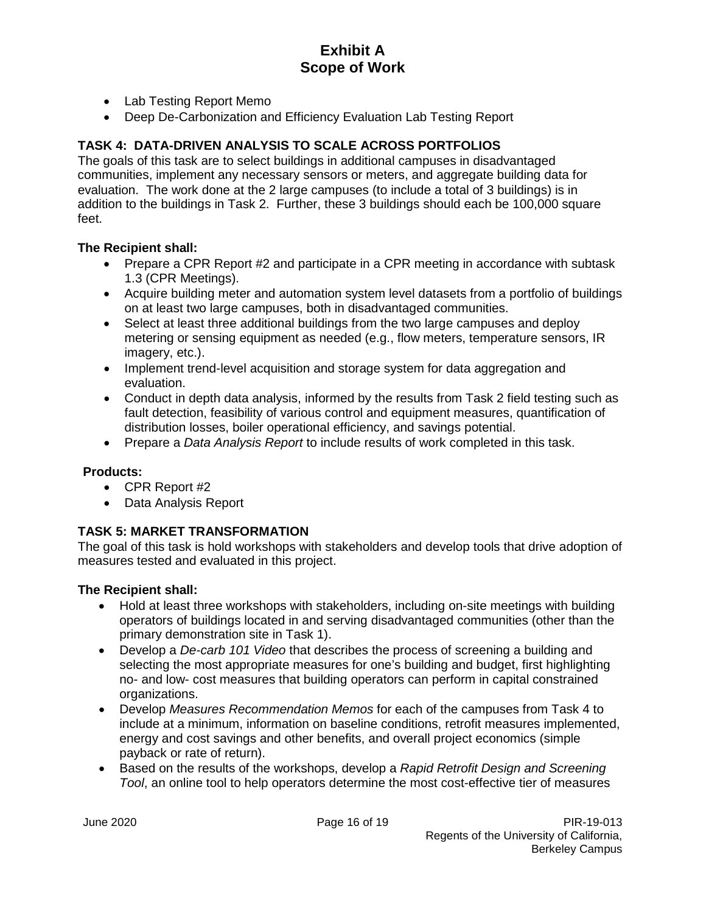- Lab Testing Report Memo
- Deep De-Carbonization and Efficiency Evaluation Lab Testing Report

## **TASK 4: DATA-DRIVEN ANALYSIS TO SCALE ACROSS PORTFOLIOS**

The goals of this task are to select buildings in additional campuses in disadvantaged communities, implement any necessary sensors or meters, and aggregate building data for evaluation. The work done at the 2 large campuses (to include a total of 3 buildings) is in addition to the buildings in Task 2. Further, these 3 buildings should each be 100,000 square feet.

## **The Recipient shall:**

- Prepare a CPR Report #2 and participate in a CPR meeting in accordance with subtask 1.3 (CPR Meetings).
- Acquire building meter and automation system level datasets from a portfolio of buildings on at least two large campuses, both in disadvantaged communities.
- Select at least three additional buildings from the two large campuses and deploy metering or sensing equipment as needed (e.g., flow meters, temperature sensors, IR imagery, etc.).
- Implement trend-level acquisition and storage system for data aggregation and evaluation.
- Conduct in depth data analysis, informed by the results from Task 2 field testing such as fault detection, feasibility of various control and equipment measures, quantification of distribution losses, boiler operational efficiency, and savings potential.
- Prepare a *Data Analysis Report* to include results of work completed in this task.

## **Products:**

- CPR Report #2
- Data Analysis Report

## **TASK 5: MARKET TRANSFORMATION**

The goal of this task is hold workshops with stakeholders and develop tools that drive adoption of measures tested and evaluated in this project.

- Hold at least three workshops with stakeholders, including on-site meetings with building operators of buildings located in and serving disadvantaged communities (other than the primary demonstration site in Task 1).
- Develop a *De-carb 101 Video* that describes the process of screening a building and selecting the most appropriate measures for one's building and budget, first highlighting no- and low- cost measures that building operators can perform in capital constrained organizations.
- Develop *Measures Recommendation Memos* for each of the campuses from Task 4 to include at a minimum, information on baseline conditions, retrofit measures implemented, energy and cost savings and other benefits, and overall project economics (simple payback or rate of return).
- Based on the results of the workshops, develop a *Rapid Retrofit Design and Screening Tool*, an online tool to help operators determine the most cost-effective tier of measures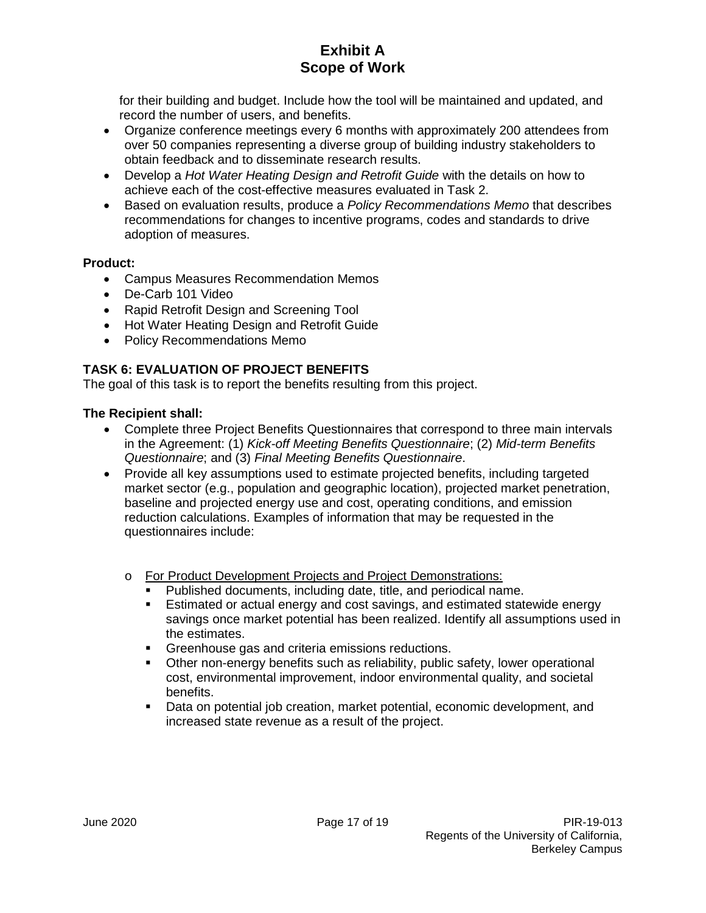for their building and budget. Include how the tool will be maintained and updated, and record the number of users, and benefits.

- Organize conference meetings every 6 months with approximately 200 attendees from over 50 companies representing a diverse group of building industry stakeholders to obtain feedback and to disseminate research results.
- Develop a *Hot Water Heating Design and Retrofit Guide* with the details on how to achieve each of the cost-effective measures evaluated in Task 2.
- Based on evaluation results, produce a *Policy Recommendations Memo* that describes recommendations for changes to incentive programs, codes and standards to drive adoption of measures.

## **Product:**

- Campus Measures Recommendation Memos
- De-Carb 101 Video
- Rapid Retrofit Design and Screening Tool
- Hot Water Heating Design and Retrofit Guide
- Policy Recommendations Memo

## **TASK 6: EVALUATION OF PROJECT BENEFITS**

The goal of this task is to report the benefits resulting from this project.

- Complete three Project Benefits Questionnaires that correspond to three main intervals in the Agreement: (1) *Kick-off Meeting Benefits Questionnaire*; (2) *Mid-term Benefits Questionnaire*; and (3) *Final Meeting Benefits Questionnaire*.
- Provide all key assumptions used to estimate projected benefits, including targeted market sector (e.g., population and geographic location), projected market penetration, baseline and projected energy use and cost, operating conditions, and emission reduction calculations. Examples of information that may be requested in the questionnaires include:
	- o For Product Development Projects and Project Demonstrations:
		- Published documents, including date, title, and periodical name.
		- **Estimated or actual energy and cost savings, and estimated statewide energy** savings once market potential has been realized. Identify all assumptions used in the estimates.
		- **Greenhouse gas and criteria emissions reductions.**
		- Other non-energy benefits such as reliability, public safety, lower operational cost, environmental improvement, indoor environmental quality, and societal benefits.
		- Data on potential job creation, market potential, economic development, and increased state revenue as a result of the project.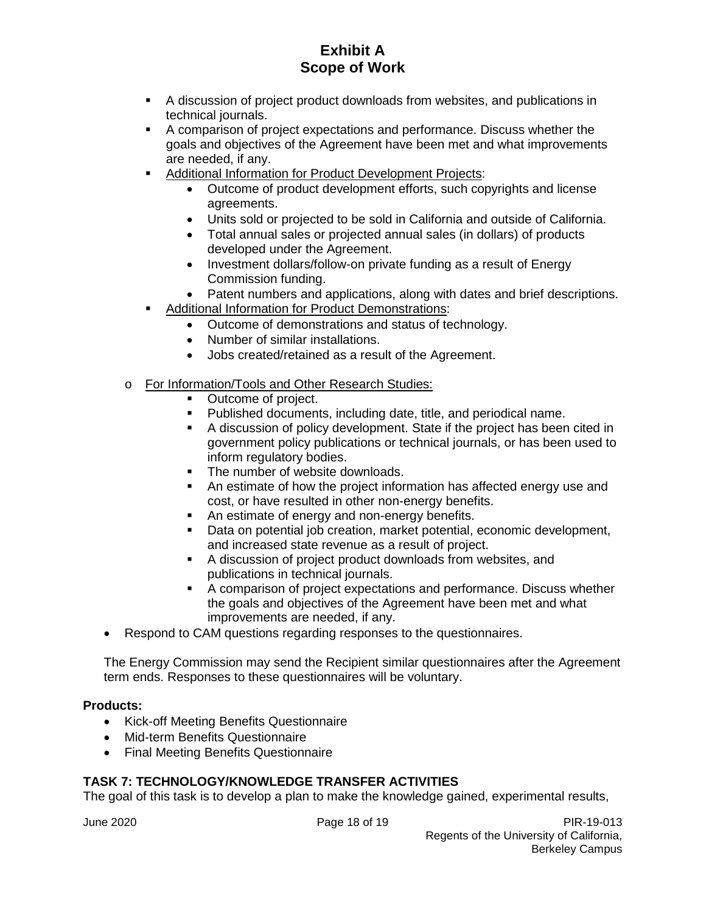- A discussion of project product downloads from websites, and publications in technical journals.
- A comparison of project expectations and performance. Discuss whether the goals and objectives of the Agreement have been met and what improvements are needed, if any.
- **Additional Information for Product Development Projects:** 
	- Outcome of product development efforts, such copyrights and license agreements.
	- Units sold or projected to be sold in California and outside of California.
	- Total annual sales or projected annual sales (in dollars) of products developed under the Agreement.
	- Investment dollars/follow-on private funding as a result of Energy Commission funding.
	- Patent numbers and applications, along with dates and brief descriptions.
- Additional Information for Product Demonstrations:
	- Outcome of demonstrations and status of technology.
	- Number of similar installations.
	- Jobs created/retained as a result of the Agreement.
- o For Information/Tools and Other Research Studies:
	- Outcome of project.
	- Published documents, including date, title, and periodical name.<br>■ A discussion of policy development. State if the project has been
	- A discussion of policy development. State if the project has been cited in government policy publications or technical journals, or has been used to inform regulatory bodies.
	- The number of website downloads.
	- An estimate of how the project information has affected energy use and cost, or have resulted in other non-energy benefits.
	- An estimate of energy and non-energy benefits.
	- Data on potential job creation, market potential, economic development, and increased state revenue as a result of project.
	- A discussion of project product downloads from websites, and publications in technical journals.
	- A comparison of project expectations and performance. Discuss whether the goals and objectives of the Agreement have been met and what improvements are needed, if any.
- Respond to CAM questions regarding responses to the questionnaires.

The Energy Commission may send the Recipient similar questionnaires after the Agreement term ends. Responses to these questionnaires will be voluntary.

#### **Products:**

- Kick-off Meeting Benefits Questionnaire
- Mid-term Benefits Questionnaire
- Final Meeting Benefits Questionnaire

## **TASK 7: TECHNOLOGY/KNOWLEDGE TRANSFER ACTIVITIES**

The goal of this task is to develop a plan to make the knowledge gained, experimental results,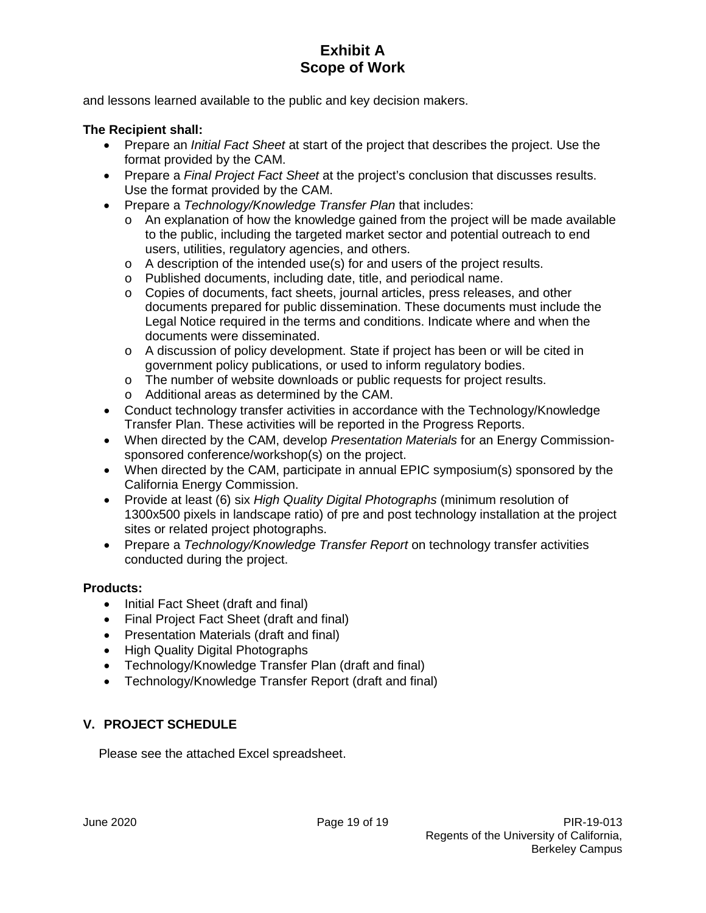and lessons learned available to the public and key decision makers.

## **The Recipient shall:**

- Prepare an *Initial Fact Sheet* at start of the project that describes the project. Use the format provided by the CAM.
- Prepare a *Final Project Fact Sheet* at the project's conclusion that discusses results. Use the format provided by the CAM.
- Prepare a *Technology/Knowledge Transfer Plan* that includes:
	- o An explanation of how the knowledge gained from the project will be made available to the public, including the targeted market sector and potential outreach to end users, utilities, regulatory agencies, and others.
	- o A description of the intended use(s) for and users of the project results.
	- o Published documents, including date, title, and periodical name.
	- o Copies of documents, fact sheets, journal articles, press releases, and other documents prepared for public dissemination. These documents must include the Legal Notice required in the terms and conditions. Indicate where and when the documents were disseminated.
	- o A discussion of policy development. State if project has been or will be cited in government policy publications, or used to inform regulatory bodies.
	- o The number of website downloads or public requests for project results.
	- o Additional areas as determined by the CAM.
- Conduct technology transfer activities in accordance with the Technology/Knowledge Transfer Plan. These activities will be reported in the Progress Reports.
- When directed by the CAM, develop *Presentation Materials* for an Energy Commissionsponsored conference/workshop(s) on the project.
- When directed by the CAM, participate in annual EPIC symposium(s) sponsored by the California Energy Commission.
- Provide at least (6) six *High Quality Digital Photographs* (minimum resolution of 1300x500 pixels in landscape ratio) of pre and post technology installation at the project sites or related project photographs.
- Prepare a *Technology/Knowledge Transfer Report* on technology transfer activities conducted during the project.

## **Products:**

- Initial Fact Sheet (draft and final)
- Final Project Fact Sheet (draft and final)
- Presentation Materials (draft and final)
- High Quality Digital Photographs
- Technology/Knowledge Transfer Plan (draft and final)
- Technology/Knowledge Transfer Report (draft and final)

## **V. PROJECT SCHEDULE**

Please see the attached Excel spreadsheet.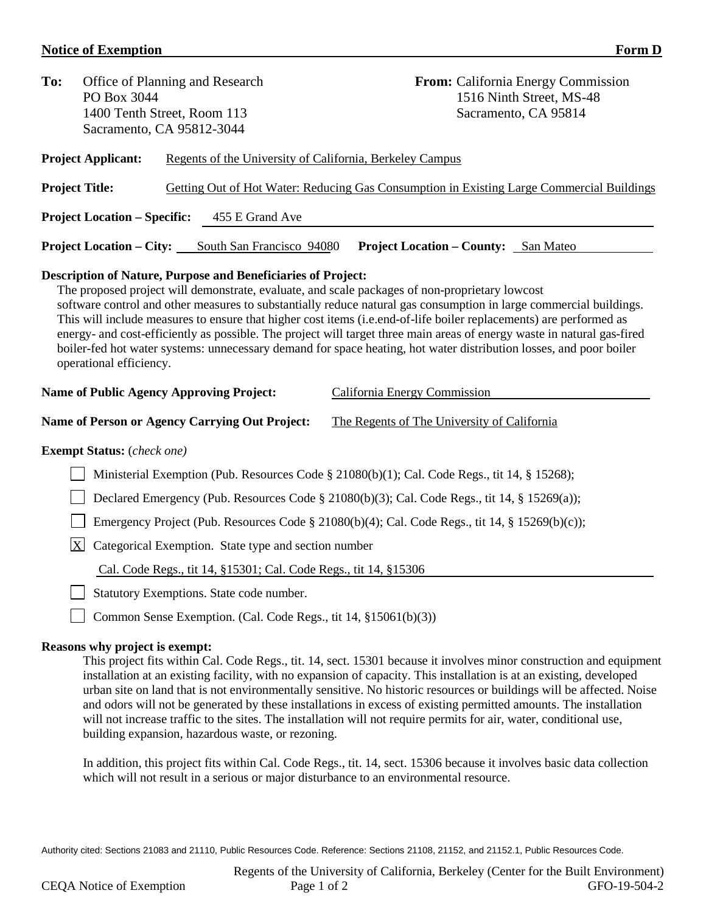## **Notice of Exemption Form D**

| To:                                                                                                                                                                                                                                                                                                                                                                                                                                                                                                                                                                                                                                                                                                                                                                              | PO Box 3044                                                                                          | Office of Planning and Research<br>1400 Tenth Street, Room 113<br>Sacramento, CA 95812-3044 | From: California Energy Commission<br>1516 Ninth Street, MS-48<br>Sacramento, CA 95814    |  |  |  |
|----------------------------------------------------------------------------------------------------------------------------------------------------------------------------------------------------------------------------------------------------------------------------------------------------------------------------------------------------------------------------------------------------------------------------------------------------------------------------------------------------------------------------------------------------------------------------------------------------------------------------------------------------------------------------------------------------------------------------------------------------------------------------------|------------------------------------------------------------------------------------------------------|---------------------------------------------------------------------------------------------|-------------------------------------------------------------------------------------------|--|--|--|
|                                                                                                                                                                                                                                                                                                                                                                                                                                                                                                                                                                                                                                                                                                                                                                                  | <b>Project Applicant:</b>                                                                            | Regents of the University of California, Berkeley Campus                                    |                                                                                           |  |  |  |
|                                                                                                                                                                                                                                                                                                                                                                                                                                                                                                                                                                                                                                                                                                                                                                                  | <b>Project Title:</b>                                                                                |                                                                                             | Getting Out of Hot Water: Reducing Gas Consumption in Existing Large Commercial Buildings |  |  |  |
|                                                                                                                                                                                                                                                                                                                                                                                                                                                                                                                                                                                                                                                                                                                                                                                  | <b>Project Location – Specific:</b>                                                                  | 455 E Grand Ave                                                                             |                                                                                           |  |  |  |
|                                                                                                                                                                                                                                                                                                                                                                                                                                                                                                                                                                                                                                                                                                                                                                                  | <b>Project Location – City:</b>                                                                      | South San Francisco 94080                                                                   | <b>Project Location – County:</b> San Mateo                                               |  |  |  |
| <b>Description of Nature, Purpose and Beneficiaries of Project:</b><br>The proposed project will demonstrate, evaluate, and scale packages of non-proprietary lowcost<br>software control and other measures to substantially reduce natural gas consumption in large commercial buildings.<br>This will include measures to ensure that higher cost items (i.e.end-of-life boiler replacements) are performed as<br>energy- and cost-efficiently as possible. The project will target three main areas of energy waste in natural gas-fired<br>boiler-fed hot water systems: unnecessary demand for space heating, hot water distribution losses, and poor boiler<br>operational efficiency.<br><b>Name of Public Agency Approving Project:</b><br>California Energy Commission |                                                                                                      |                                                                                             |                                                                                           |  |  |  |
|                                                                                                                                                                                                                                                                                                                                                                                                                                                                                                                                                                                                                                                                                                                                                                                  | <b>Name of Person or Agency Carrying Out Project:</b><br>The Regents of The University of California |                                                                                             |                                                                                           |  |  |  |
|                                                                                                                                                                                                                                                                                                                                                                                                                                                                                                                                                                                                                                                                                                                                                                                  | <b>Exempt Status:</b> (check one)                                                                    |                                                                                             |                                                                                           |  |  |  |
|                                                                                                                                                                                                                                                                                                                                                                                                                                                                                                                                                                                                                                                                                                                                                                                  | Ministerial Exemption (Pub. Resources Code § 21080(b)(1); Cal. Code Regs., tit 14, § 15268);         |                                                                                             |                                                                                           |  |  |  |
|                                                                                                                                                                                                                                                                                                                                                                                                                                                                                                                                                                                                                                                                                                                                                                                  | Declared Emergency (Pub. Resources Code § 21080(b)(3); Cal. Code Regs., tit 14, § 15269(a));         |                                                                                             |                                                                                           |  |  |  |
|                                                                                                                                                                                                                                                                                                                                                                                                                                                                                                                                                                                                                                                                                                                                                                                  | Emergency Project (Pub. Resources Code § 21080(b)(4); Cal. Code Regs., tit 14, § 15269(b)(c));       |                                                                                             |                                                                                           |  |  |  |
|                                                                                                                                                                                                                                                                                                                                                                                                                                                                                                                                                                                                                                                                                                                                                                                  | $\bf{X}$<br>Categorical Exemption. State type and section number                                     |                                                                                             |                                                                                           |  |  |  |
|                                                                                                                                                                                                                                                                                                                                                                                                                                                                                                                                                                                                                                                                                                                                                                                  | Cal. Code Regs., tit 14, §15301; Cal. Code Regs., tit 14, §15306                                     |                                                                                             |                                                                                           |  |  |  |
|                                                                                                                                                                                                                                                                                                                                                                                                                                                                                                                                                                                                                                                                                                                                                                                  | Statutory Exemptions. State code number.                                                             |                                                                                             |                                                                                           |  |  |  |
|                                                                                                                                                                                                                                                                                                                                                                                                                                                                                                                                                                                                                                                                                                                                                                                  | Common Sense Exemption. (Cal. Code Regs., tit 14, §15061(b)(3))                                      |                                                                                             |                                                                                           |  |  |  |

#### **Reasons why project is exempt:**

This project fits within Cal. Code Regs., tit. 14, sect. 15301 because it involves minor construction and equipment installation at an existing facility, with no expansion of capacity. This installation is at an existing, developed urban site on land that is not environmentally sensitive. No historic resources or buildings will be affected. Noise and odors will not be generated by these installations in excess of existing permitted amounts. The installation will not increase traffic to the sites. The installation will not require permits for air, water, conditional use, building expansion, hazardous waste, or rezoning.

In addition, this project fits within Cal. Code Regs., tit. 14, sect. 15306 because it involves basic data collection which will not result in a serious or major disturbance to an environmental resource.

Authority cited: Sections 21083 and 21110, Public Resources Code. Reference: Sections 21108, 21152, and 21152.1, Public Resources Code.

Regents of the University of California, Berkeley (Center for the Built Environment)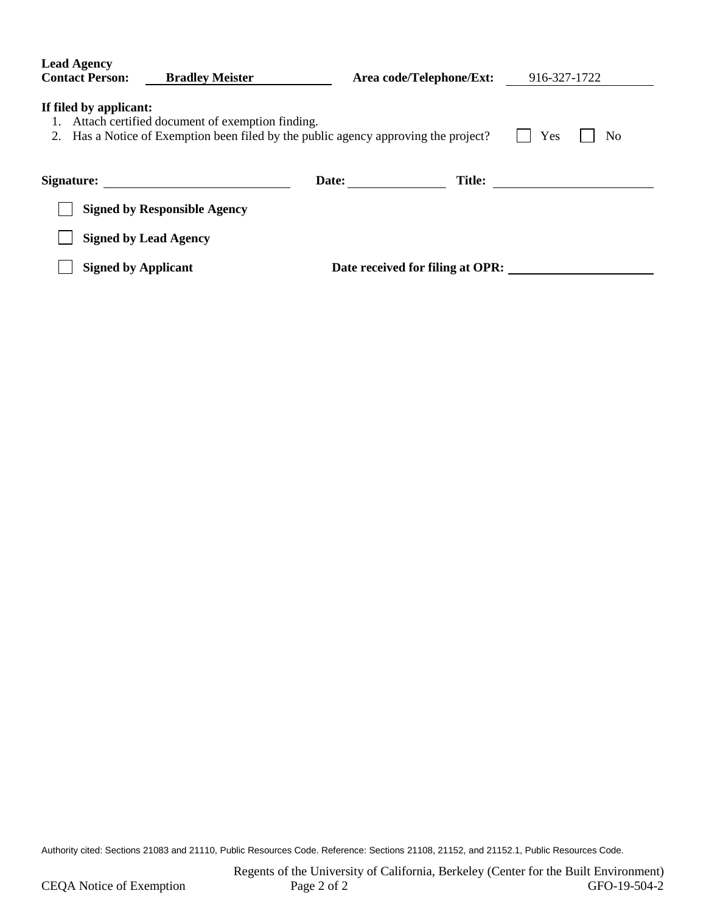| <b>Lead Agency</b><br><b>Contact Person:</b><br><b>Bradley Meister</b>                                                                                                                 |                                     | Area code/Telephone/Ext: |                                  | 916-327-1722 |  |  |
|----------------------------------------------------------------------------------------------------------------------------------------------------------------------------------------|-------------------------------------|--------------------------|----------------------------------|--------------|--|--|
| If filed by applicant:<br>Attach certified document of exemption finding.<br>1.<br>Has a Notice of Exemption been filed by the public agency approving the project?<br>Yes<br>No<br>2. |                                     |                          |                                  |              |  |  |
| Signature:                                                                                                                                                                             |                                     | Date:                    | <b>Title:</b>                    |              |  |  |
|                                                                                                                                                                                        | <b>Signed by Responsible Agency</b> |                          |                                  |              |  |  |
|                                                                                                                                                                                        | <b>Signed by Lead Agency</b>        |                          |                                  |              |  |  |
| <b>Signed by Applicant</b>                                                                                                                                                             |                                     |                          | Date received for filing at OPR: |              |  |  |

Authority cited: Sections 21083 and 21110, Public Resources Code. Reference: Sections 21108, 21152, and 21152.1, Public Resources Code.